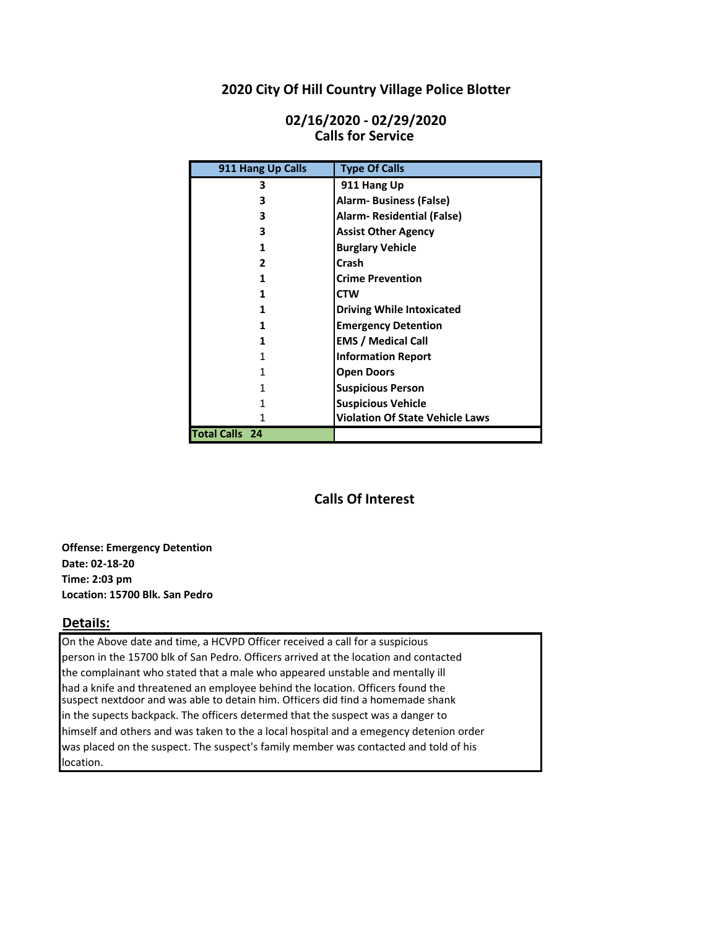# **2020 City Of Hill Country Village Police Blotter**

| 911 Hang Up Calls     | <b>Type Of Calls</b>                   |
|-----------------------|----------------------------------------|
| 3                     | 911 Hang Up                            |
| 3                     | <b>Alarm- Business (False)</b>         |
| 3                     | Alarm-Residential (False)              |
| 3                     | <b>Assist Other Agency</b>             |
| 1                     | <b>Burglary Vehicle</b>                |
| 2                     | Crash                                  |
|                       | <b>Crime Prevention</b>                |
|                       | <b>CTW</b>                             |
|                       | <b>Driving While Intoxicated</b>       |
|                       | <b>Emergency Detention</b>             |
|                       | <b>EMS / Medical Call</b>              |
|                       | <b>Information Report</b>              |
|                       | <b>Open Doors</b>                      |
|                       | <b>Suspicious Person</b>               |
|                       | <b>Suspicious Vehicle</b>              |
|                       | <b>Violation Of State Vehicle Laws</b> |
| <b>Total Calls 24</b> |                                        |

# **Calls for Service 02/16/2020 - 02/29/2020**

# **Calls Of Interest**

**Offense: Emergency Detention Date: 02-18-20 Time: 2:03 pm Location: 15700 Blk. San Pedro**

# **Details:**

On the Above date and time, a HCVPD Officer received a call for a suspicious person in the 15700 blk of San Pedro. Officers arrived at the location and contacted the complainant who stated that a male who appeared unstable and mentally ill had a knife and threatened an employee behind the location. Officers found the suspect nextdoor and was able to detain him. Officers did find a homemade shank in the supects backpack. The officers determed that the suspect was a danger to himself and others and was taken to the a local hospital and a emegency detenion order was placed on the suspect. The suspect's family member was contacted and told of his location.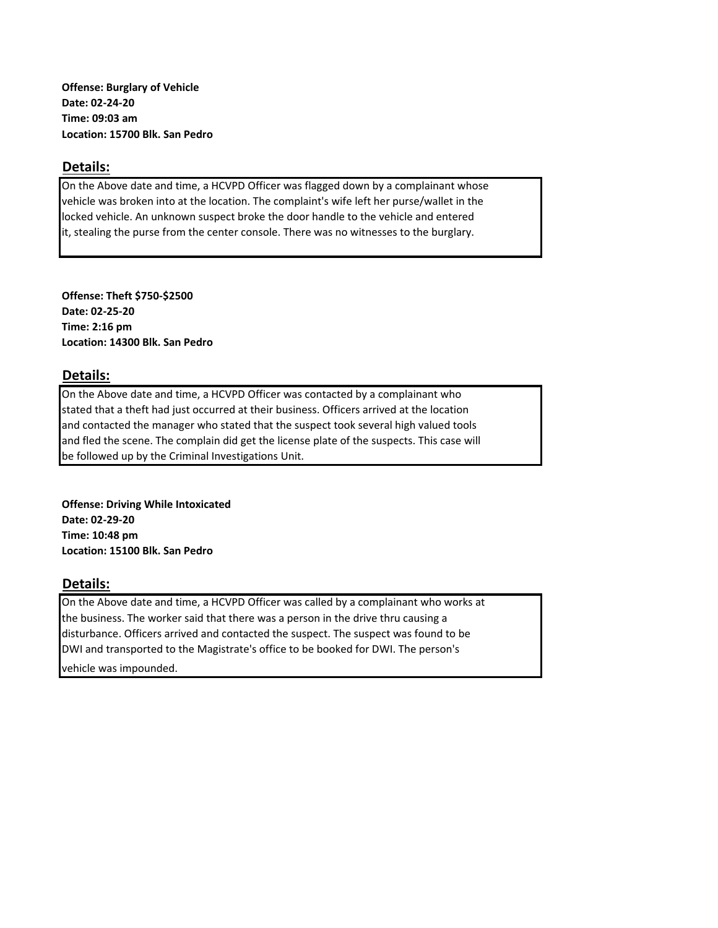**Offense: Burglary of Vehicle Date: 02-24-20 Time: 09:03 am Location: 15700 Blk. San Pedro**

#### **Details:**

On the Above date and time, a HCVPD Officer was flagged down by a complainant whose vehicle was broken into at the location. The complaint's wife left her purse/wallet in the locked vehicle. An unknown suspect broke the door handle to the vehicle and entered it, stealing the purse from the center console. There was no witnesses to the burglary.

**Offense: Theft \$750-\$2500 Date: 02-25-20 Time: 2:16 pm Location: 14300 Blk. San Pedro**

# **Details:**

On the Above date and time, a HCVPD Officer was contacted by a complainant who stated that a theft had just occurred at their business. Officers arrived at the location and contacted the manager who stated that the suspect took several high valued tools and fled the scene. The complain did get the license plate of the suspects. This case will be followed up by the Criminal Investigations Unit.

**Offense: Driving While Intoxicated Date: 02-29-20 Time: 10:48 pm Location: 15100 Blk. San Pedro**

# **Details:**

On the Above date and time, a HCVPD Officer was called by a complainant who works at the business. The worker said that there was a person in the drive thru causing a disturbance. Officers arrived and contacted the suspect. The suspect was found to be DWI and transported to the Magistrate's office to be booked for DWI. The person's

vehicle was impounded.